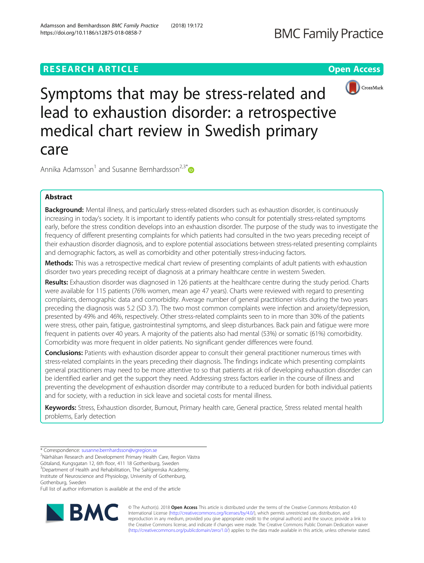# **RESEARCH ARTICLE Example 2014 12:30 The Contract of Contract ACCESS**



Symptoms that may be stress-related and lead to exhaustion disorder: a retrospective medical chart review in Swedish primary care

Annika Adamsson<sup>1</sup> and Susanne Bernhardsson<sup>2,3[\\*](http://orcid.org/0000-0001-8212-7678)</sup>

## Abstract

**Background:** Mental illness, and particularly stress-related disorders such as exhaustion disorder, is continuously increasing in today's society. It is important to identify patients who consult for potentially stress-related symptoms early, before the stress condition develops into an exhaustion disorder. The purpose of the study was to investigate the frequency of different presenting complaints for which patients had consulted in the two years preceding receipt of their exhaustion disorder diagnosis, and to explore potential associations between stress-related presenting complaints and demographic factors, as well as comorbidity and other potentially stress-inducing factors.

Methods: This was a retrospective medical chart review of presenting complaints of adult patients with exhaustion disorder two years preceding receipt of diagnosis at a primary healthcare centre in western Sweden.

Results: Exhaustion disorder was diagnosed in 126 patients at the healthcare centre during the study period. Charts were available for 115 patients (76% women, mean age 47 years). Charts were reviewed with regard to presenting complaints, demographic data and comorbidity. Average number of general practitioner visits during the two years preceding the diagnosis was 5.2 (SD 3.7). The two most common complaints were infection and anxiety/depression, presented by 49% and 46%, respectively. Other stress-related complaints seen to in more than 30% of the patients were stress, other pain, fatigue, gastrointestinal symptoms, and sleep disturbances. Back pain and fatigue were more frequent in patients over 40 years. A majority of the patients also had mental (53%) or somatic (61%) comorbidity. Comorbidity was more frequent in older patients. No significant gender differences were found.

Conclusions: Patients with exhaustion disorder appear to consult their general practitioner numerous times with stress-related complaints in the years preceding their diagnosis. The findings indicate which presenting complaints general practitioners may need to be more attentive to so that patients at risk of developing exhaustion disorder can be identified earlier and get the support they need. Addressing stress factors earlier in the course of illness and preventing the development of exhaustion disorder may contribute to a reduced burden for both individual patients and for society, with a reduction in sick leave and societal costs for mental illness.

Keywords: Stress, Exhaustion disorder, Burnout, Primary health care, General practice, Stress related mental health problems, Early detection

\* Correspondence: [susanne.bernhardsson@vgregion.se](mailto:susanne.bernhardsson@vgregion.se) <sup>2</sup>

Full list of author information is available at the end of the article



Gothenburg, Sweden

© The Author(s). 2018 Open Access This article is distributed under the terms of the Creative Commons Attribution 4.0 International License [\(http://creativecommons.org/licenses/by/4.0/](http://creativecommons.org/licenses/by/4.0/)), which permits unrestricted use, distribution, and reproduction in any medium, provided you give appropriate credit to the original author(s) and the source, provide a link to the Creative Commons license, and indicate if changes were made. The Creative Commons Public Domain Dedication waiver [\(http://creativecommons.org/publicdomain/zero/1.0/](http://creativecommons.org/publicdomain/zero/1.0/)) applies to the data made available in this article, unless otherwise stated.

Närhälsan Research and Development Primary Health Care, Region Västra Götaland, Kungsgatan 12, 6th floor, 411 18 Gothenburg, Sweden <sup>3</sup>Department of Health and Rehabilitation, The Sahlgrenska Academy, Institute of Neuroscience and Physiology, University of Gothenburg,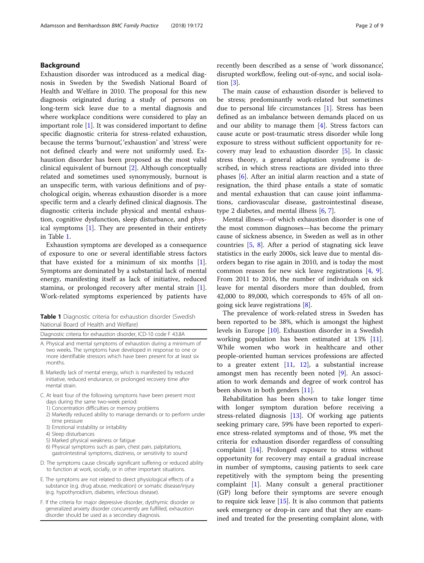## Background

Exhaustion disorder was introduced as a medical diagnosis in Sweden by the Swedish National Board of Health and Welfare in 2010. The proposal for this new diagnosis originated during a study of persons on long-term sick leave due to a mental diagnosis and where workplace conditions were considered to play an important role [[1](#page-7-0)]. It was considered important to define specific diagnostic criteria for stress-related exhaustion, because the terms 'burnout', 'exhaustion' and 'stress' were not defined clearly and were not uniformly used. Exhaustion disorder has been proposed as the most valid clinical equivalent of burnout [\[2](#page-7-0)]. Although conceptually related and sometimes used synonymously, burnout is an unspecific term, with various definitions and of psychological origin, whereas exhaustion disorder is a more specific term and a clearly defined clinical diagnosis. The diagnostic criteria include physical and mental exhaustion, cognitive dysfunction, sleep disturbance, and physical symptoms [\[1\]](#page-7-0). They are presented in their entirety in Table 1.

Exhaustion symptoms are developed as a consequence of exposure to one or several identifiable stress factors that have existed for a minimum of six months  $[1]$  $[1]$ . Symptoms are dominated by a substantial lack of mental energy, manifesting itself as lack of initiative, reduced stamina, or prolonged recovery after mental strain [\[1](#page-7-0)]. Work-related symptoms experienced by patients have

**Table 1** Diagnostic criteria for exhaustion disorder (Swedish National Board of Health and Welfare)

Diagnostic criteria for exhaustion disorder, ICD-10 code F 43.8A

- A. Physical and mental symptoms of exhaustion during a minimum of two weeks. The symptoms have developed in response to one or more identifiable stressors which have been present for at least six months.
- B. Markedly lack of mental energy, which is manifested by reduced initiative, reduced endurance, or prolonged recovery time after mental strain.
- C. At least four of the following symptoms have been present most days during the same two-week period:
	- 1) Concentration difficulties or memory problems
	- 2) Markedly reduced ability to manage demands or to perform under time pressure
	- 3) Emotional instability or irritability
	- 4) Sleep disturbances
	- 5) Marked physical weakness or fatigue
	- 6) Physical symptoms such as pain, chest pain, palpitations, gastrointestinal symptoms, dizziness, or sensitivity to sound
- D. The symptoms cause clinically significant suffering or reduced ability to function at work, socially, or in other important situations.
- E. The symptoms are not related to direct physiological effects of a substance (e.g. drug abuse, medication) or somatic disease/injury (e.g. hypothyroidism, diabetes, infectious disease).
- F. If the criteria for major depressive disorder, dysthymic disorder or generalized anxiety disorder concurrently are fulfilled, exhaustion disorder should be used as a secondary diagnosis.

recently been described as a sense of 'work dissonance', disrupted workflow, feeling out-of-sync, and social isolation [\[3\]](#page-8-0).

The main cause of exhaustion disorder is believed to be stress; predominantly work-related but sometimes due to personal life circumstances [\[1](#page-7-0)]. Stress has been defined as an imbalance between demands placed on us and our ability to manage them  $[4]$  $[4]$ . Stress factors can cause acute or post-traumatic stress disorder while long exposure to stress without sufficient opportunity for recovery may lead to exhaustion disorder [[5\]](#page-8-0). In classic stress theory, a general adaptation syndrome is described, in which stress reactions are divided into three phases [[6](#page-8-0)]. After an initial alarm reaction and a state of resignation, the third phase entails a state of somatic and mental exhaustion that can cause joint inflammations, cardiovascular disease, gastrointestinal disease, type 2 diabetes, and mental illness [\[6](#page-8-0), [7](#page-8-0)].

Mental illness—of which exhaustion disorder is one of the most common diagnoses—has become the primary cause of sickness absence, in Sweden as well as in other countries [[5,](#page-8-0) [8](#page-8-0)]. After a period of stagnating sick leave statistics in the early 2000s, sick leave due to mental disorders began to rise again in 2010, and is today the most common reason for new sick leave registrations [[4,](#page-8-0) [9](#page-8-0)]. From 2011 to 2016, the number of individuals on sick leave for mental disorders more than doubled, from 42,000 to 89,000, which corresponds to 45% of all ongoing sick leave registrations [\[8](#page-8-0)].

The prevalence of work-related stress in Sweden has been reported to be 38%, which is amongst the highest levels in Europe [\[10](#page-8-0)]. Exhaustion disorder in a Swedish working population has been estimated at 13% [\[11](#page-8-0)]. While women who work in healthcare and other people-oriented human services professions are affected to a greater extent [\[11](#page-8-0), [12](#page-8-0)], a substantial increase amongst men has recently been noted [[9](#page-8-0)]. An association to work demands and degree of work control has been shown in both genders [[11\]](#page-8-0).

Rehabilitation has been shown to take longer time with longer symptom duration before receiving a stress-related diagnosis [\[13\]](#page-8-0). Of working age patients seeking primary care, 59% have been reported to experience stress-related symptoms and of those, 9% met the criteria for exhaustion disorder regardless of consulting complaint [[14](#page-8-0)]. Prolonged exposure to stress without opportunity for recovery may entail a gradual increase in number of symptoms, causing patients to seek care repetitively with the symptom being the presenting complaint [[1\]](#page-7-0). Many consult a general practitioner (GP) long before their symptoms are severe enough to require sick leave [[15](#page-8-0)]. It is also common that patients seek emergency or drop-in care and that they are examined and treated for the presenting complaint alone, with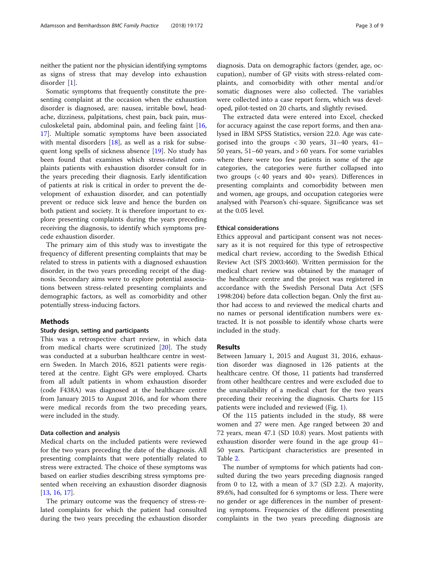neither the patient nor the physician identifying symptoms as signs of stress that may develop into exhaustion disorder [\[1](#page-7-0)].

Somatic symptoms that frequently constitute the presenting complaint at the occasion when the exhaustion disorder is diagnosed, are: nausea, irritable bowl, headache, dizziness, palpitations, chest pain, back pain, musculoskeletal pain, abdominal pain, and feeling faint [[16](#page-8-0), [17\]](#page-8-0). Multiple somatic symptoms have been associated with mental disorders [[18\]](#page-8-0), as well as a risk for subsequent long spells of sickness absence [\[19\]](#page-8-0). No study has been found that examines which stress-related complaints patients with exhaustion disorder consult for in the years preceding their diagnosis. Early identification of patients at risk is critical in order to prevent the development of exhaustion disorder, and can potentially prevent or reduce sick leave and hence the burden on both patient and society. It is therefore important to explore presenting complaints during the years preceding receiving the diagnosis, to identify which symptoms precede exhaustion disorder.

The primary aim of this study was to investigate the frequency of different presenting complaints that may be related to stress in patients with a diagnosed exhaustion disorder, in the two years preceding receipt of the diagnosis. Secondary aims were to explore potential associations between stress-related presenting complaints and demographic factors, as well as comorbidity and other potentially stress-inducing factors.

## Methods

## Study design, setting and participants

This was a retrospective chart review, in which data from medical charts were scrutinized [[20\]](#page-8-0). The study was conducted at a suburban healthcare centre in western Sweden. In March 2016, 8521 patients were registered at the centre. Eight GPs were employed. Charts from all adult patients in whom exhaustion disorder (code F438A) was diagnosed at the healthcare centre from January 2015 to August 2016, and for whom there were medical records from the two preceding years, were included in the study.

## Data collection and analysis

Medical charts on the included patients were reviewed for the two years preceding the date of the diagnosis. All presenting complaints that were potentially related to stress were extracted. The choice of these symptoms was based on earlier studies describing stress symptoms presented when receiving an exhaustion disorder diagnosis [[13,](#page-8-0) [16,](#page-8-0) [17](#page-8-0)].

The primary outcome was the frequency of stress-related complaints for which the patient had consulted during the two years preceding the exhaustion disorder diagnosis. Data on demographic factors (gender, age, occupation), number of GP visits with stress-related complaints, and comorbidity with other mental and/or somatic diagnoses were also collected. The variables were collected into a case report form, which was developed, pilot-tested on 20 charts, and slightly revised.

The extracted data were entered into Excel, checked for accuracy against the case report forms, and then analysed in IBM SPSS Statistics, version 22.0. Age was categorised into the groups  $< 30$  years,  $31-40$  years,  $41-$ 50 years, 51–60 years, and > 60 years. For some variables where there were too few patients in some of the age categories, the categories were further collapsed into two groups (< 40 years and 40+ years). Differences in presenting complaints and comorbidity between men and women, age groups, and occupation categories were analysed with Pearson's chi-square. Significance was set at the 0.05 level.

## Ethical considerations

Ethics approval and participant consent was not necessary as it is not required for this type of retrospective medical chart review, according to the Swedish Ethical Review Act (SFS 2003:460). Written permission for the medical chart review was obtained by the manager of the healthcare centre and the project was registered in accordance with the Swedish Personal Data Act (SFS 1998:204) before data collection began. Only the first author had access to and reviewed the medical charts and no names or personal identification numbers were extracted. It is not possible to identify whose charts were included in the study.

## Results

Between January 1, 2015 and August 31, 2016, exhaustion disorder was diagnosed in 126 patients at the healthcare centre. Of those, 11 patients had transferred from other healthcare centres and were excluded due to the unavailability of a medical chart for the two years preceding their receiving the diagnosis. Charts for 115 patients were included and reviewed (Fig. [1\)](#page-3-0).

Of the 115 patients included in the study, 88 were women and 27 were men. Age ranged between 20 and 72 years, mean 47.1 (SD 10.8) years. Most patients with exhaustion disorder were found in the age group 41– 50 years. Participant characteristics are presented in Table [2.](#page-3-0)

The number of symptoms for which patients had consulted during the two years preceding diagnosis ranged from 0 to 12, with a mean of 3.7 (SD 2.2). A majority, 89.6%, had consulted for 6 symptoms or less. There were no gender or age differences in the number of presenting symptoms. Frequencies of the different presenting complaints in the two years preceding diagnosis are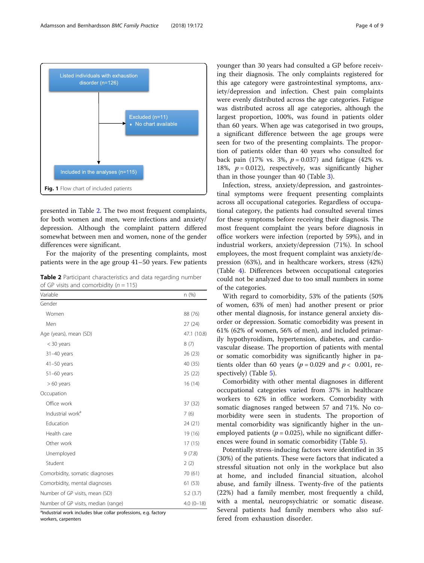<span id="page-3-0"></span>

presented in Table 2. The two most frequent complaints, for both women and men, were infections and anxiety/ depression. Although the complaint pattern differed somewhat between men and women, none of the gender differences were significant.

For the majority of the presenting complaints, most patients were in the age group 41–50 years. Few patients

Table 2 Participant characteristics and data regarding number of GP visits and comorbidity ( $n = 115$ )

| Variable                            | n (%)       |
|-------------------------------------|-------------|
| Gender                              |             |
| Women                               | 88 (76)     |
| Men                                 | 27(24)      |
| Age (years), mean (SD)              | 47.1 (10.8) |
| $<$ 30 years                        | 8(7)        |
| $31-40$ years                       | 26(23)      |
| $41-50$ years                       | 40 (35)     |
| $51-60$ years                       | 25(22)      |
| $>60$ years                         | 16 (14)     |
| Occupation                          |             |
| Office work                         | 37 (32)     |
| Industrial work <sup>a</sup>        | 7(6)        |
| Education                           | 24 (21)     |
| Health care                         | 19 (16)     |
| Other work                          | 17(15)      |
| Unemployed                          | 9(7.8)      |
| Student                             | 2(2)        |
| Comorbidity, somatic diagnoses      | 70 (61)     |
| Comorbidity, mental diagnoses       | 61(53)      |
| Number of GP visits, mean (SD)      | 5.2(3.7)    |
| Number of GP visits, median (range) | $4.0(0-18)$ |

<sup>a</sup>Industrial work includes blue collar professions, e.g. factory

workers, carpenters

younger than 30 years had consulted a GP before receiving their diagnosis. The only complaints registered for this age category were gastrointestinal symptoms, anxiety/depression and infection. Chest pain complaints were evenly distributed across the age categories. Fatigue was distributed across all age categories, although the largest proportion, 100%, was found in patients older than 60 years. When age was categorised in two groups, a significant difference between the age groups were seen for two of the presenting complaints. The proportion of patients older than 40 years who consulted for back pain (17% vs. 3%,  $p = 0.037$ ) and fatigue (42% vs. 18%,  $p = 0.012$ ), respectively, was significantly higher than in those younger than 40 (Table [3\)](#page-4-0).

Infection, stress, anxiety/depression, and gastrointestinal symptoms were frequent presenting complaints across all occupational categories. Regardless of occupational category, the patients had consulted several times for these symptoms before receiving their diagnosis. The most frequent complaint the years before diagnosis in office workers were infection (reported by 59%), and in industrial workers, anxiety/depression (71%). In school employees, the most frequent complaint was anxiety/depression (63%), and in healthcare workers, stress (42%) (Table [4](#page-4-0)). Differences between occupational categories could not be analyzed due to too small numbers in some of the categories.

With regard to comorbidity, 53% of the patients (50% of women, 63% of men) had another present or prior other mental diagnosis, for instance general anxiety disorder or depression. Somatic comorbidity was present in 61% (62% of women, 56% of men), and included primarily hypothyroidism, hypertension, diabetes, and cardiovascular disease. The proportion of patients with mental or somatic comorbidity was significantly higher in patients older than 60 years ( $p = 0.029$  and  $p < 0.001$ , respectively) (Table [5\)](#page-5-0).

Comorbidity with other mental diagnoses in different occupational categories varied from 37% in healthcare workers to 62% in office workers. Comorbidity with somatic diagnoses ranged between 57 and 71%. No comorbidity were seen in students. The proportion of mental comorbidity was significantly higher in the unemployed patients ( $p = 0.025$ ), while no significant differences were found in somatic comorbidity (Table [5](#page-5-0)).

Potentially stress-inducing factors were identified in 35 (30%) of the patients. These were factors that indicated a stressful situation not only in the workplace but also at home, and included financial situation, alcohol abuse, and family illness. Twenty-five of the patients (22%) had a family member, most frequently a child, with a mental, neuropsychiatric or somatic disease. Several patients had family members who also suffered from exhaustion disorder.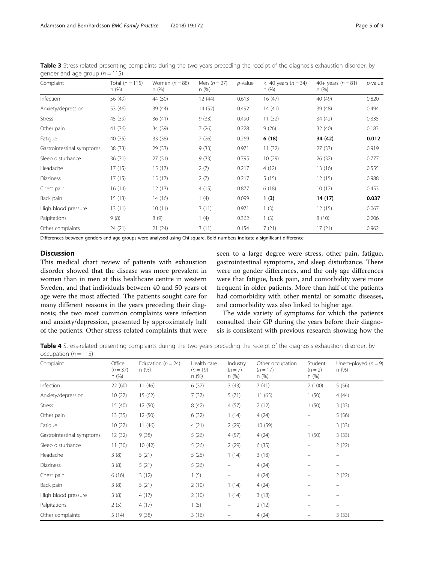<span id="page-4-0"></span>

| Table 3 Stress-related presenting complaints during the two years preceding the receipt of the diagnosis exhaustion disorder, by |  |  |  |  |
|----------------------------------------------------------------------------------------------------------------------------------|--|--|--|--|
| gender and age group ( $n = 115$ )                                                                                               |  |  |  |  |

| Complaint                 | Total $(n = 115)$<br>n (%) | Women $(n = 88)$<br>n(%) | Men $(n = 27)$<br>n(%) | $p$ -value | < 40 years ( $n = 34$ )<br>n(%) | 40+ years $(n = 81)$<br>n (%) | $p$ -value |
|---------------------------|----------------------------|--------------------------|------------------------|------------|---------------------------------|-------------------------------|------------|
| Infection                 | 56 (49)                    | 44 (50)                  | 12(44)                 | 0.613      | 16(47)                          | 40 (49)                       | 0.820      |
| Anxiety/depression        | 53 (46)                    | 39 (44)                  | 14 (52)                | 0.492      | 14(41)                          | 39 (48)                       | 0.494      |
| <b>Stress</b>             | 45 (39)                    | 36 (41)                  | 9(33)                  | 0.490      | 11(32)                          | 34 (42)                       | 0.335      |
| Other pain                | 41 (36)                    | 34 (39)                  | 7(26)                  | 0.228      | 9(26)                           | 32 (40)                       | 0.183      |
| Fatique                   | 40 (35)                    | 33 (38)                  | 7(26)                  | 0.269      | 6(18)                           | 34 (42)                       | 0.012      |
| Gastrointestinal symptoms | 38 (33)                    | 29 (33)                  | 9(33)                  | 0.971      | 11(32)                          | 27(33)                        | 0.919      |
| Sleep disturbance         | 36(31)                     | 27(31)                   | 9(33)                  | 0.795      | 10(29)                          | 26 (32)                       | 0.777      |
| Headache                  | 17(15)                     | 15(17)                   | 2(7)                   | 0.217      | 4(12)                           | 13(16)                        | 0.555      |
| <b>Dizziness</b>          | 17(15)                     | 15(17)                   | 2(7)                   | 0.217      | 5(15)                           | 12(15)                        | 0.988      |
| Chest pain                | 16(14)                     | 12(13)                   | 4(15)                  | 0.877      | 6(18)                           | 10(12)                        | 0.453      |
| Back pain                 | 15(13)                     | 14 (16)                  | 1(4)                   | 0.099      | 1(3)                            | 14 (17)                       | 0.037      |
| High blood pressure       | 13(11)                     | 10(11)                   | 3(11)                  | 0.971      | 1(3)                            | 12(15)                        | 0.067      |
| Palpitations              | 9(8)                       | 8(9)                     | 1(4)                   | 0.362      | 1(3)                            | 8(10)                         | 0.206      |
| Other complaints          | 24 (21)                    | 21(24)                   | 3(11)                  | 0.154      | 7(21)                           | 17(21)                        | 0.962      |

Differences between genders and age groups were analysed using Chi square. Bold numbers indicate a significant difference

## **Discussion**

This medical chart review of patients with exhaustion disorder showed that the disease was more prevalent in women than in men at this healthcare centre in western Sweden, and that individuals between 40 and 50 years of age were the most affected. The patients sought care for many different reasons in the years preceding their diagnosis; the two most common complaints were infection and anxiety/depression, presented by approximately half of the patients. Other stress-related complaints that were

seen to a large degree were stress, other pain, fatigue, gastrointestinal symptoms, and sleep disturbance. There were no gender differences, and the only age differences were that fatigue, back pain, and comorbidity were more frequent in older patients. More than half of the patients had comorbidity with other mental or somatic diseases, and comorbidity was also linked to higher age.

The wide variety of symptoms for which the patients consulted their GP during the years before their diagnosis is consistent with previous research showing how the

Table 4 Stress-related presenting complaints during the two years preceding the receipt of the diagnosis exhaustion disorder, by occupation ( $n = 115$ )

| Complaint                 | Office<br>$(n=37)$<br>n (%) | Education ( $n = 24$ )<br>n(%) | Health care<br>$(n = 19)$<br>n(%) | Industry<br>$(n=7)$<br>n(%)    | Other occupation<br>$(n = 17)$<br>n (%) | Student<br>$(n = 2)$<br>n (%)  | Unem-ployed $(n = 9)$<br>n(%) |
|---------------------------|-----------------------------|--------------------------------|-----------------------------------|--------------------------------|-----------------------------------------|--------------------------------|-------------------------------|
| Infection                 | 22(60)                      | 11(46)                         | 6(32)                             | 3(43)                          | 7(41)                                   | 2(100)                         | 5(56)                         |
| Anxiety/depression        | 10(27)                      | 15 (62)                        | 7(37)                             | 5(71)                          | 11(65)                                  | 1(50)                          | 4(44)                         |
| Stress                    | 15(40)                      | 12 (50)                        | 8(42)                             | 4(57)                          | 2(12)                                   | 1(50)                          | 3(33)                         |
| Other pain                | 13(35)                      | 12 (50)                        | 6(32)                             | 1(14)                          | 4(24)                                   | -                              | 5(56)                         |
| Fatigue                   | 10(27)                      | 11(46)                         | 4(21)                             | 2(29)                          | 10 (59)                                 | $\qquad \qquad \longleftarrow$ | 3(33)                         |
| Gastrointestinal symptoms | 12(32)                      | 9(38)                          | 5(26)                             | 4(57)                          | 4(24)                                   | 1(50)                          | 3(33)                         |
| Sleep disturbance         | 11(30)                      | 10(42)                         | 5(26)                             | 2(29)                          | 6(35)                                   | —                              | 2(22)                         |
| Headache                  | 3(8)                        | 5(21)                          | 5(26)                             | 1(14)                          | 3(18)                                   | -                              | $\overline{\phantom{0}}$      |
| Dizziness                 | 3(8)                        | 5(21)                          | 5(26)                             | -                              | 4(24)                                   |                                |                               |
| Chest pain                | 6(16)                       | 3(12)                          | 1(5)                              | $\qquad \qquad \longleftarrow$ | 4(24)                                   | $\qquad \qquad \longleftarrow$ | 2(22)                         |
| Back pain                 | 3(8)                        | 5(21)                          | 2(10)                             | 1(14)                          | 4(24)                                   | $\qquad \qquad \longleftarrow$ | $\overline{\phantom{m}}$      |
| High blood pressure       | 3(8)                        | 4(17)                          | 2(10)                             | 1(14)                          | 3(18)                                   |                                |                               |
| Palpitations              | 2(5)                        | 4(17)                          | 1(5)                              |                                | 2(12)                                   | -                              | $\overline{\phantom{0}}$      |
| Other complaints          | 5(14)                       | 9(38)                          | 3(16)                             |                                | 4(24)                                   |                                | 3(33)                         |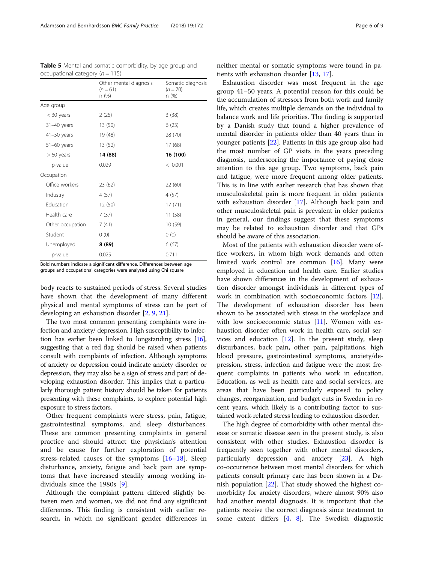| $\sigma$         |                                               |                                         |
|------------------|-----------------------------------------------|-----------------------------------------|
|                  | Other mental diagnosis<br>$(n = 61)$<br>n (%) | Somatic diagnosis<br>$(n = 70)$<br>n(%) |
| Age group        |                                               |                                         |
| $<$ 30 years     | 2(25)                                         | 3(38)                                   |
| $31-40$ years    | 13 (50)                                       | 6(23)                                   |
| $41-50$ years    | 19 (48)                                       | 28 (70)                                 |
| $51-60$ years    | 13 (52)                                       | 17(68)                                  |
| $>60$ years      | 14 (88)                                       | 16 (100)                                |
| p-value          | 0.029                                         | < 0.001                                 |
| Occupation       |                                               |                                         |
| Office workers   | 23 (62)                                       | 22 (60)                                 |
| Industry         | 4(57)                                         | 4 (57)                                  |
| Education        | 12 (50)                                       | 17(71)                                  |
| Health care      | 7(37)                                         | 11(58)                                  |
| Other occupation | 7(41)                                         | 10 (59)                                 |
| Student          | 0(0)                                          | 0(0)                                    |
| Unemployed       | 8 (89)                                        | 6(67)                                   |
| p-value          | 0.025                                         | 0.711                                   |

<span id="page-5-0"></span>Table 5 Mental and somatic comorbidity, by age group and occupational category  $(n = 115)$ 

Bold numbers indicate a significant difference. Differences between age groups and occupational categories were analysed using Chi square

body reacts to sustained periods of stress. Several studies have shown that the development of many different physical and mental symptoms of stress can be part of developing an exhaustion disorder [[2](#page-7-0), [9](#page-8-0), [21](#page-8-0)].

The two most common presenting complaints were infection and anxiety/ depression. High susceptibility to infection has earlier been linked to longstanding stress [\[16](#page-8-0)], suggesting that a red flag should be raised when patients consult with complaints of infection. Although symptoms of anxiety or depression could indicate anxiety disorder or depression, they may also be a sign of stress and part of developing exhaustion disorder. This implies that a particularly thorough patient history should be taken for patients presenting with these complaints, to explore potential high exposure to stress factors.

Other frequent complaints were stress, pain, fatigue, gastrointestinal symptoms, and sleep disturbances. These are common presenting complaints in general practice and should attract the physician's attention and be cause for further exploration of potential stress-related causes of the symptoms  $[16–18]$  $[16–18]$  $[16–18]$  $[16–18]$ . Sleep disturbance, anxiety, fatigue and back pain are symptoms that have increased steadily among working individuals since the 1980s [[9\]](#page-8-0).

Although the complaint pattern differed slightly between men and women, we did not find any significant differences. This finding is consistent with earlier research, in which no significant gender differences in neither mental or somatic symptoms were found in patients with exhaustion disorder [\[13,](#page-8-0) [17\]](#page-8-0).

Exhaustion disorder was most frequent in the age group 41–50 years. A potential reason for this could be the accumulation of stressors from both work and family life, which creates multiple demands on the individual to balance work and life priorities. The finding is supported by a Danish study that found a higher prevalence of mental disorder in patients older than 40 years than in younger patients [\[22\]](#page-8-0). Patients in this age group also had the most number of GP visits in the years preceding diagnosis, underscoring the importance of paying close attention to this age group. Two symptoms, back pain and fatigue, were more frequent among older patients. This is in line with earlier research that has shown that musculoskeletal pain is more frequent in older patients with exhaustion disorder [[17](#page-8-0)]. Although back pain and other musculoskeletal pain is prevalent in older patients in general, our findings suggest that these symptoms may be related to exhaustion disorder and that GPs should be aware of this association.

Most of the patients with exhaustion disorder were office workers, in whom high work demands and often limited work control are common [[16\]](#page-8-0). Many were employed in education and health care. Earlier studies have shown differences in the development of exhaustion disorder amongst individuals in different types of work in combination with socioeconomic factors [\[12](#page-8-0)]. The development of exhaustion disorder has been shown to be associated with stress in the workplace and with low socioeconomic status [[11\]](#page-8-0). Women with exhaustion disorder often work in health care, social services and education [\[12](#page-8-0)]. In the present study, sleep disturbances, back pain, other pain, palpitations, high blood pressure, gastrointestinal symptoms, anxiety/depression, stress, infection and fatigue were the most frequent complaints in patients who work in education. Education, as well as health care and social services, are areas that have been particularly exposed to policy changes, reorganization, and budget cuts in Sweden in recent years, which likely is a contributing factor to sustained work-related stress leading to exhaustion disorder.

The high degree of comorbidity with other mental disease or somatic disease seen in the present study, is also consistent with other studies. Exhaustion disorder is frequently seen together with other mental disorders, particularly depression and anxiety [[23\]](#page-8-0). A high co-occurrence between most mental disorders for which patients consult primary care has been shown in a Danish population [[22\]](#page-8-0). That study showed the highest comorbidity for anxiety disorders, where almost 90% also had another mental diagnosis. It is important that the patients receive the correct diagnosis since treatment to some extent differs [[4,](#page-8-0) [8](#page-8-0)]. The Swedish diagnostic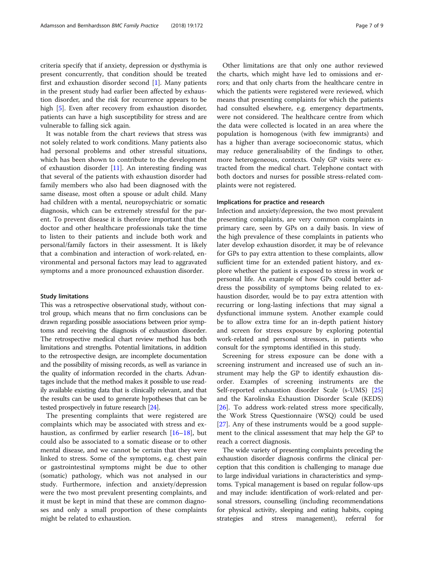criteria specify that if anxiety, depression or dysthymia is present concurrently, that condition should be treated first and exhaustion disorder second [[1\]](#page-7-0). Many patients in the present study had earlier been affected by exhaustion disorder, and the risk for recurrence appears to be high [\[5](#page-8-0)]. Even after recovery from exhaustion disorder, patients can have a high susceptibility for stress and are vulnerable to falling sick again.

It was notable from the chart reviews that stress was not solely related to work conditions. Many patients also had personal problems and other stressful situations, which has been shown to contribute to the development of exhaustion disorder  $[11]$  $[11]$  $[11]$ . An interesting finding was that several of the patients with exhaustion disorder had family members who also had been diagnosed with the same disease, most often a spouse or adult child. Many had children with a mental, neuropsychiatric or somatic diagnosis, which can be extremely stressful for the parent. To prevent disease it is therefore important that the doctor and other healthcare professionals take the time to listen to their patients and include both work and personal/family factors in their assessment. It is likely that a combination and interaction of work-related, environmental and personal factors may lead to aggravated symptoms and a more pronounced exhaustion disorder.

## Study limitations

This was a retrospective observational study, without control group, which means that no firm conclusions can be drawn regarding possible associations between prior symptoms and receiving the diagnosis of exhaustion disorder. The retrospective medical chart review method has both limitations and strengths. Potential limitations, in addition to the retrospective design, are incomplete documentation and the possibility of missing records, as well as variance in the quality of information recorded in the charts. Advantages include that the method makes it possible to use readily available existing data that is clinically relevant, and that the results can be used to generate hypotheses that can be tested prospectively in future research [[24](#page-8-0)].

The presenting complaints that were registered are complaints which may be associated with stress and ex-haustion, as confirmed by earlier research [[16](#page-8-0)–[18](#page-8-0)], but could also be associated to a somatic disease or to other mental disease, and we cannot be certain that they were linked to stress. Some of the symptoms, e.g. chest pain or gastrointestinal symptoms might be due to other (somatic) pathology, which was not analysed in our study. Furthermore, infection and anxiety/depression were the two most prevalent presenting complaints, and it must be kept in mind that these are common diagnoses and only a small proportion of these complaints might be related to exhaustion.

Other limitations are that only one author reviewed the charts, which might have led to omissions and errors; and that only charts from the healthcare centre in which the patients were registered were reviewed, which means that presenting complaints for which the patients had consulted elsewhere, e.g. emergency departments, were not considered. The healthcare centre from which the data were collected is located in an area where the population is homogenous (with few immigrants) and has a higher than average socioeconomic status, which may reduce generalisability of the findings to other, more heterogeneous, contexts. Only GP visits were extracted from the medical chart. Telephone contact with both doctors and nurses for possible stress-related complaints were not registered.

## Implications for practice and research

Infection and anxiety/depression, the two most prevalent presenting complaints, are very common complaints in primary care, seen by GPs on a daily basis. In view of the high prevalence of these complaints in patients who later develop exhaustion disorder, it may be of relevance for GPs to pay extra attention to these complaints, allow sufficient time for an extended patient history, and explore whether the patient is exposed to stress in work or personal life. An example of how GPs could better address the possibility of symptoms being related to exhaustion disorder, would be to pay extra attention with recurring or long-lasting infections that may signal a dysfunctional immune system. Another example could be to allow extra time for an in-depth patient history and screen for stress exposure by exploring potential work-related and personal stressors, in patients who consult for the symptoms identified in this study.

Screening for stress exposure can be done with a screening instrument and increased use of such an instrument may help the GP to identify exhaustion disorder. Examples of screening instruments are the Self-reported exhaustion disorder Scale (s-UMS) [[25](#page-8-0)] and the Karolinska Exhaustion Disorder Scale (KEDS) [[26\]](#page-8-0). To address work-related stress more specifically, the Work Stress Questionnaire (WSQ) could be used [[27\]](#page-8-0). Any of these instruments would be a good supplement to the clinical assessment that may help the GP to reach a correct diagnosis.

The wide variety of presenting complaints preceding the exhaustion disorder diagnosis confirms the clinical perception that this condition is challenging to manage due to large individual variations in characteristics and symptoms. Typical management is based on regular follow-ups and may include: identification of work-related and personal stressors, counselling (including recommendations for physical activity, sleeping and eating habits, coping strategies and stress management), referral for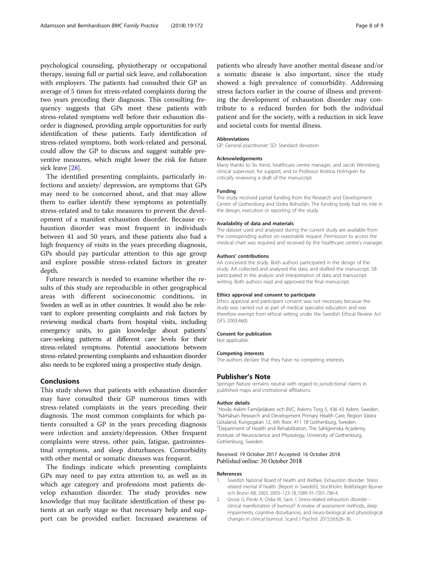<span id="page-7-0"></span>psychological counseling, physiotherapy or occupational therapy, issuing full or partial sick leave, and collaboration with employers. The patients had consulted their GP an average of 5 times for stress-related complaints during the two years preceding their diagnosis. This consulting frequency suggests that GPs meet these patients with stress-related symptoms well before their exhaustion disorder is diagnosed, providing ample opportunities for early identification of these patients. Early identification of stress-related symptoms, both work-related and personal, could allow the GP to discuss and suggest suitable preventive measures, which might lower the risk for future sick leave [[28](#page-8-0)].

The identified presenting complaints, particularly infections and anxiety/ depression, are symptoms that GPs may need to be concerned about, and that may allow them to earlier identify these symptoms as potentially stress-related and to take measures to prevent the development of a manifest exhaustion disorder. Because exhaustion disorder was most frequent in individuals between 41 and 50 years, and these patients also had a high frequency of visits in the years preceding diagnosis, GPs should pay particular attention to this age group and explore possible stress-related factors in greater depth.

Future research is needed to examine whether the results of this study are reproducible in other geographical areas with different socioeconomic conditions, in Sweden as well as in other countries. It would also be relevant to explore presenting complaints and risk factors by reviewing medical charts from hospital visits, including emergency units, to gain knowledge about patients' care-seeking patterns at different care levels for their stress-related symptoms. Potential associations between stress-related presenting complaints and exhaustion disorder also needs to be explored using a prospective study design.

## Conclusions

This study shows that patients with exhaustion disorder may have consulted their GP numerous times with stress-related complaints in the years preceding their diagnosis. The most common complaints for which patients consulted a GP in the years preceding diagnosis were infection and anxiety/depression. Other frequent complaints were stress, other pain, fatigue, gastrointestinal symptoms, and sleep disturbances. Comorbidity with other mental or somatic diseases was frequent.

The findings indicate which presenting complaints GPs may need to pay extra attention to, as well as in which age category and professions most patients develop exhaustion disorder. The study provides new knowledge that may facilitate identification of these patients at an early stage so that necessary help and support can be provided earlier. Increased awareness of

patients who already have another mental disease and/or a somatic disease is also important, since the study showed a high prevalence of comorbidity. Addressing stress factors earlier in the course of illness and preventing the development of exhaustion disorder may contribute to a reduced burden for both the individual patient and for the society, with a reduction in sick leave and societal costs for mental illness.

## Abbreviations

GP: General practitioner; SD: Standard deviation

#### Acknowledgements

Many thanks to Siv Kirnö, healthcare centre manager, and Jacob Wennberg, clinical supervisor, for support, and to Professor Kristina Holmgren for critically reviewing a draft of the manuscript.

#### Funding

The study received partial funding from the Research and Development Centre of Gothenburg and Södra Bohuslän. The funding body had no role in the design, execution or reporting of the study.

#### Availability of data and materials

The dataset used and analysed during the current study are available from the corresponding author on reasonable request. Permission to access the medical chart was required and received by the healthcare centre's manager.

#### Authors' contributions

AA conceived the study. Both authors participated in the design of the study. AA collected and analysed the data, and drafted the manuscript. SB participated in the analysis and interpretation of data and manuscript writing. Both authors read and approved the final manuscript.

#### Ethics approval and consent to participate

Ethics approval and participant consent was not necessary because the study was carried out as part of medical specialist education and was therefore exempt from ethical vetting under the Swedish Ethical Review Act (SFS 2003:460).

#### Consent for publication

Not applicable.

#### Competing interests

The authors declare that they have no competing interests.

#### Publisher's Note

Springer Nature remains neutral with regard to jurisdictional claims in published maps and institutional affiliations.

#### Author details

<sup>1</sup> Hovås Askim Familjeläkare och BVC, Askims Torg 5, 436 43 Askim, Sweden 2 Närhälsan Research and Development Primary Health Care, Region Västra Götaland, Kungsgatan 12, 6th floor, 411 18 Gothenburg, Sweden. <sup>3</sup>Department of Health and Rehabilitation, The Sahlgrenska Academy Institute of Neuroscience and Physiology, University of Gothenburg, Gothenburg, Sweden.

## Received: 19 October 2017 Accepted: 16 October 2018 Published online: 30 October 2018

#### References

- 1. Swedish National Board of Health and Welfare. Exhaustion disorder: Stress related mental ill health. [Report in Swedish]. Stockholm: Bokförlaget Bjurner och Bruno AB; 2003. 2003–123-18, ISBN 91-7201-786-4.
- 2. Grossi G, Perski A, Osika W, Savic I. Stress-related exhaustion disorder clinical manifestation of burnout? A review of assessment methods, sleep impairments, cognitive disturbances, and neuro-biological and physiological changes in clinical burnout. Scand J Psychol. 2015;56:626–36.